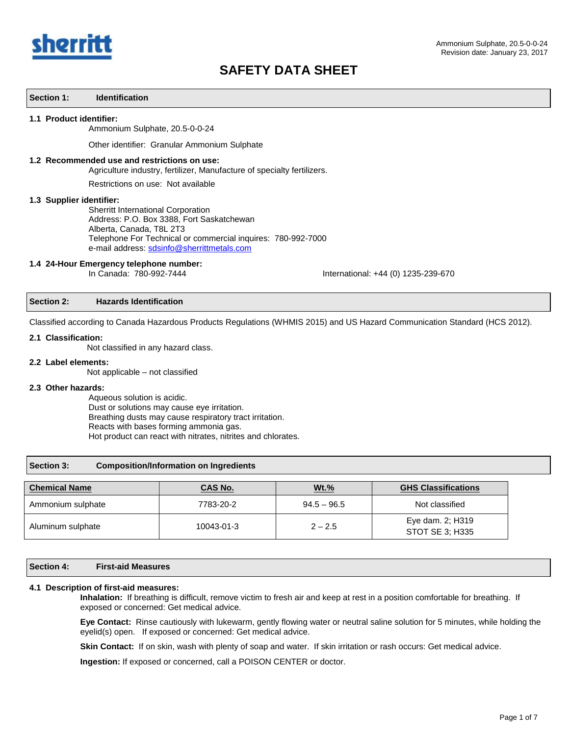

## **Section 1: Identification**

#### **1.1 Product identifier:**

Ammonium Sulphate, 20.5-0-0-24

Other identifier: Granular Ammonium Sulphate

# **1.2 Recommended use and restrictions on use:**

Agriculture industry, fertilizer, Manufacture of specialty fertilizers.

Restrictions on use: Not available

#### **1.3 Supplier identifier:**

Sherritt International Corporation Address: P.O. Box 3388, Fort Saskatchewan Alberta, Canada, T8L 2T3 Telephone For Technical or commercial inquires: 780-992-7000 e-mail address[: sdsinfo@sherrittmetals.com](mailto:sdsinfo@sherrittmetals.com)

## **1.4 24-Hour Emergency telephone number:**

In Canada: 780-992-7444 International: +44 (0) 1235-239-670

#### **Section 2: Hazards Identification**

Classified according to Canada Hazardous Products Regulations (WHMIS 2015) and US Hazard Communication Standard (HCS 2012).

## **2.1 Classification:**

Not classified in any hazard class.

#### **2.2 Label elements:**

Not applicable – not classified

## **2.3 Other hazards:**

Aqueous solution is acidic. Dust or solutions may cause eye irritation. Breathing dusts may cause respiratory tract irritation. Reacts with bases forming ammonia gas. Hot product can react with nitrates, nitrites and chlorates.

## **Section 3: Composition/Information on Ingredients**

| <b>Chemical Name</b> | <u>CAS No.</u> | Wt.%          | <b>GHS Classifications</b>          |
|----------------------|----------------|---------------|-------------------------------------|
| Ammonium sulphate    | 7783-20-2      | $94.5 - 96.5$ | Not classified                      |
| Aluminum sulphate    | 10043-01-3     | $2 - 2.5$     | Eye dam. 2; H319<br>STOT SE 3: H335 |

# **Section 4: First-aid Measures**

### **4.1 Description of first-aid measures:**

**Inhalation:** If breathing is difficult, remove victim to fresh air and keep at rest in a position comfortable for breathing. If exposed or concerned: Get medical advice.

**Eye Contact:** Rinse cautiously with lukewarm, gently flowing water or neutral saline solution for 5 minutes, while holding the eyelid(s) open. If exposed or concerned: Get medical advice.

**Skin Contact:** If on skin, wash with plenty of soap and water. If skin irritation or rash occurs: Get medical advice.

**Ingestion:** If exposed or concerned, call a POISON CENTER or doctor.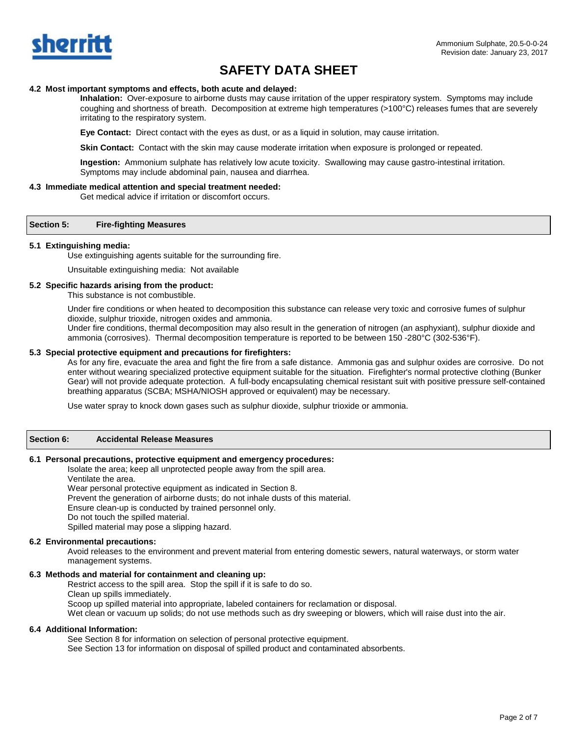

## **4.2 Most important symptoms and effects, both acute and delayed:**

**Inhalation:** Over-exposure to airborne dusts may cause irritation of the upper respiratory system. Symptoms may include coughing and shortness of breath. Decomposition at extreme high temperatures (>100°C) releases fumes that are severely irritating to the respiratory system.

**Eye Contact:** Direct contact with the eyes as dust, or as a liquid in solution, may cause irritation.

**Skin Contact:** Contact with the skin may cause moderate irritation when exposure is prolonged or repeated.

**Ingestion:** Ammonium sulphate has relatively low acute toxicity. Swallowing may cause gastro-intestinal irritation. Symptoms may include abdominal pain, nausea and diarrhea.

## **4.3 Immediate medical attention and special treatment needed:**

Get medical advice if irritation or discomfort occurs.

## **Section 5: Fire-fighting Measures**

## **5.1 Extinguishing media:**

Use extinguishing agents suitable for the surrounding fire.

Unsuitable extinguishing media: Not available

## **5.2 Specific hazards arising from the product:**

This substance is not combustible.

Under fire conditions or when heated to decomposition this substance can release very toxic and corrosive fumes of sulphur dioxide, sulphur trioxide, nitrogen oxides and ammonia.

Under fire conditions, thermal decomposition may also result in the generation of nitrogen (an asphyxiant), sulphur dioxide and ammonia (corrosives). Thermal decomposition temperature is reported to be between 150 -280°C (302-536°F).

## **5.3 Special protective equipment and precautions for firefighters:**

As for any fire, evacuate the area and fight the fire from a safe distance. Ammonia gas and sulphur oxides are corrosive. Do not enter without wearing specialized protective equipment suitable for the situation. Firefighter's normal protective clothing (Bunker Gear) will not provide adequate protection. A full-body encapsulating chemical resistant suit with positive pressure self-contained breathing apparatus (SCBA; MSHA/NIOSH approved or equivalent) may be necessary.

Use water spray to knock down gases such as sulphur dioxide, sulphur trioxide or ammonia.

## **Section 6: Accidental Release Measures**

## **6.1 Personal precautions, protective equipment and emergency procedures:**

Isolate the area; keep all unprotected people away from the spill area.

Ventilate the area.

Wear personal protective equipment as indicated in Section 8. Prevent the generation of airborne dusts; do not inhale dusts of this material. Ensure clean-up is conducted by trained personnel only. Do not touch the spilled material. Spilled material may pose a slipping hazard.

## **6.2 Environmental precautions:**

Avoid releases to the environment and prevent material from entering domestic sewers, natural waterways, or storm water management systems.

## **6.3 Methods and material for containment and cleaning up:**

Restrict access to the spill area. Stop the spill if it is safe to do so. Clean up spills immediately. Scoop up spilled material into appropriate, labeled containers for reclamation or disposal.

Wet clean or vacuum up solids; do not use methods such as dry sweeping or blowers, which will raise dust into the air.

## **6.4 Additional Information:**

See Section 8 for information on selection of personal protective equipment.

See Section 13 for information on disposal of spilled product and contaminated absorbents.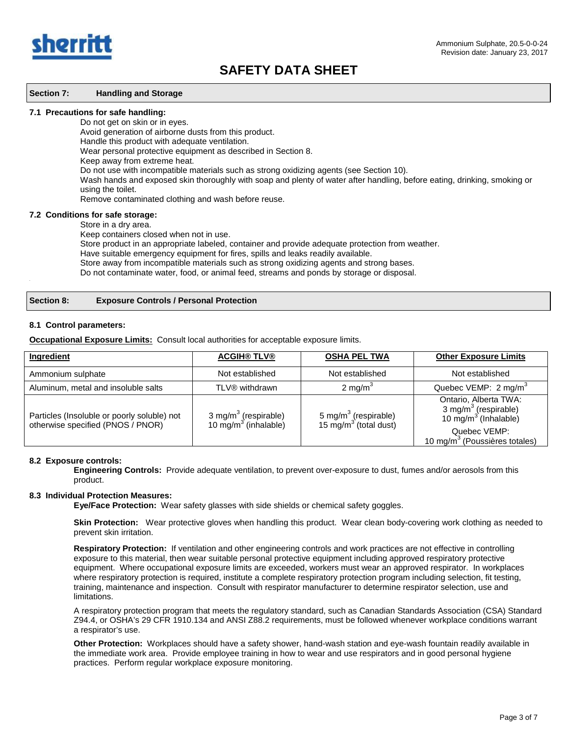

#### **Section 7: Handling and Storage**

#### **7.1 Precautions for safe handling:**

Do not get on skin or in eyes.

Avoid generation of airborne dusts from this product.

Handle this product with adequate ventilation.

Wear personal protective equipment as described in Section 8.

Keep away from extreme heat.

Do not use with incompatible materials such as strong oxidizing agents (see Section 10).

Wash hands and exposed skin thoroughly with soap and plenty of water after handling, before eating, drinking, smoking or using the toilet.

Remove contaminated clothing and wash before reuse.

#### **7.2 Conditions for safe storage:**

Store in a dry area.

Keep containers closed when not in use.

Store product in an appropriate labeled, container and provide adequate protection from weather.

Have suitable emergency equipment for fires, spills and leaks readily available.

Store away from incompatible materials such as strong oxidizing agents and strong bases.

Do not contaminate water, food, or animal feed, streams and ponds by storage or disposal. .

## **Section 8: Exposure Controls / Personal Protection**

## **8.1 Control parameters:**

**Occupational Exposure Limits:** Consult local authorities for acceptable exposure limits.

| Ingredient                                                                       | <b>ACGIH® TLV®</b>                                                   | <b>OSHA PEL TWA</b>                                                   | <b>Other Exposure Limits</b>                                                                                                                               |
|----------------------------------------------------------------------------------|----------------------------------------------------------------------|-----------------------------------------------------------------------|------------------------------------------------------------------------------------------------------------------------------------------------------------|
| Ammonium sulphate                                                                | Not established                                                      | Not established                                                       | Not established                                                                                                                                            |
| Aluminum, metal and insoluble salts                                              | TLV® withdrawn                                                       | 2 mg/m $3$                                                            | Quebec VEMP: 2 mg/m <sup>3</sup>                                                                                                                           |
| Particles (Insoluble or poorly soluble) not<br>otherwise specified (PNOS / PNOR) | 3 mg/m <sup>3</sup> (respirable)<br>10 mg/m <sup>3</sup> (inhalable) | 5 mg/m <sup>3</sup> (respirable)<br>15 mg/m <sup>3</sup> (total dust) | Ontario, Alberta TWA:<br>3 mg/m <sup>3</sup> (respirable)<br>10 mg/m <sup>3</sup> (Inhalable)<br>Quebec VEMP:<br>10 mg/m <sup>3</sup> (Poussières totales) |

## **8.2 Exposure controls:**

**Engineering Controls:** Provide adequate ventilation, to prevent over-exposure to dust, fumes and/or aerosols from this product.

# **8.3 Individual Protection Measures:**

**Eye/Face Protection:** Wear safety glasses with side shields or chemical safety goggles.

 **Skin Protection:** Wear protective gloves when handling this product. Wear clean body-covering work clothing as needed to prevent skin irritation.

**Respiratory Protection:** If ventilation and other engineering controls and work practices are not effective in controlling exposure to this material, then wear suitable personal protective equipment including approved respiratory protective equipment. Where occupational exposure limits are exceeded, workers must wear an approved respirator. In workplaces where respiratory protection is required, institute a complete respiratory protection program including selection, fit testing, training, maintenance and inspection. Consult with respirator manufacturer to determine respirator selection, use and limitations.

A respiratory protection program that meets the regulatory standard, such as Canadian Standards Association (CSA) Standard Z94.4, or OSHA's 29 CFR 1910.134 and ANSI Z88.2 requirements, must be followed whenever workplace conditions warrant a respirator's use.

**Other Protection:** Workplaces should have a safety shower, hand-wash station and eye-wash fountain readily available in the immediate work area. Provide employee training in how to wear and use respirators and in good personal hygiene practices. Perform regular workplace exposure monitoring.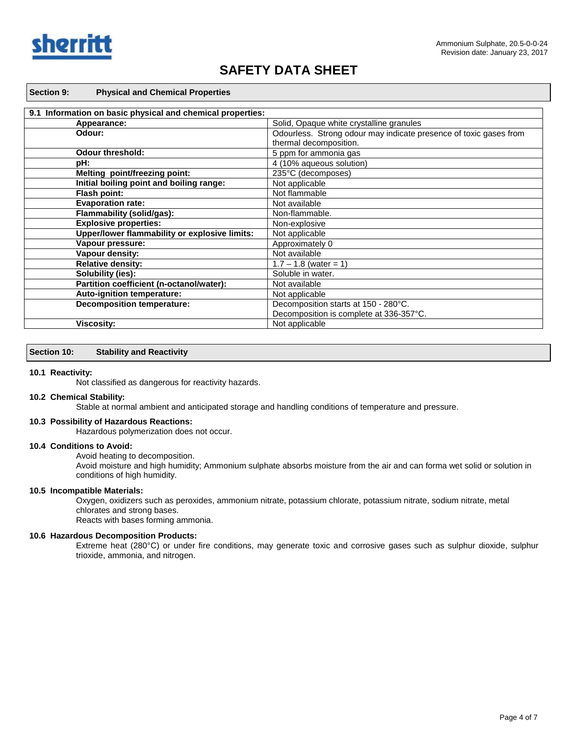

# **Section 9: Physical and Chemical Properties**

| 9.1 Information on basic physical and chemical properties: |                                                                   |
|------------------------------------------------------------|-------------------------------------------------------------------|
| Appearance:                                                | Solid, Opaque white crystalline granules                          |
| Odour:                                                     | Odourless. Strong odour may indicate presence of toxic gases from |
|                                                            | thermal decomposition.                                            |
| <b>Odour threshold:</b>                                    | 5 ppm for ammonia gas                                             |
| pH:                                                        | 4 (10% aqueous solution)                                          |
| Melting point/freezing point:                              | 235°C (decomposes)                                                |
| Initial boiling point and boiling range:                   | Not applicable                                                    |
| Flash point:                                               | Not flammable                                                     |
| <b>Evaporation rate:</b>                                   | Not available                                                     |
| Flammability (solid/gas):                                  | Non-flammable.                                                    |
| <b>Explosive properties:</b>                               | Non-explosive                                                     |
| Upper/lower flammability or explosive limits:              | Not applicable                                                    |
| Vapour pressure:                                           | Approximately 0                                                   |
| Vapour density:                                            | Not available                                                     |
| <b>Relative density:</b>                                   | $1.7 - 1.8$ (water = 1)                                           |
| Solubility (ies):                                          | Soluble in water.                                                 |
| Partition coefficient (n-octanol/water):                   | Not available                                                     |
| Auto-ignition temperature:                                 | Not applicable                                                    |
| <b>Decomposition temperature:</b>                          | Decomposition starts at 150 - 280°C.                              |
|                                                            | Decomposition is complete at 336-357°C.                           |
| <b>Viscosity:</b>                                          | Not applicable                                                    |

### **Section 10: Stability and Reactivity**

#### **10.1 Reactivity:**

Not classified as dangerous for reactivity hazards.

## **10.2 Chemical Stability:**

Stable at normal ambient and anticipated storage and handling conditions of temperature and pressure.

#### **10.3 Possibility of Hazardous Reactions:**

Hazardous polymerization does not occur.

## **10.4 Conditions to Avoid:**

Avoid heating to decomposition.

Avoid moisture and high humidity; Ammonium sulphate absorbs moisture from the air and can forma wet solid or solution in conditions of high humidity.

## **10.5 Incompatible Materials:**

Oxygen, oxidizers such as peroxides, ammonium nitrate, potassium chlorate, potassium nitrate, sodium nitrate, metal chlorates and strong bases. Reacts with bases forming ammonia.

## **10.6 Hazardous Decomposition Products:**

Extreme heat (280°C) or under fire conditions, may generate toxic and corrosive gases such as sulphur dioxide, sulphur trioxide, ammonia, and nitrogen.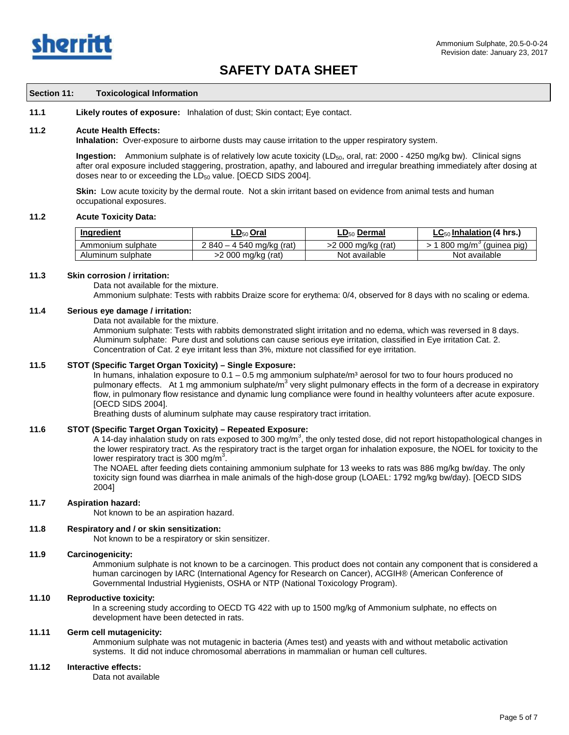

#### **Section 11: Toxicological Information**

**11.1 Likely routes of exposure:** Inhalation of dust; Skin contact; Eye contact.

#### **11.2 Acute Health Effects:**

**Inhalation:** Over-exposure to airborne dusts may cause irritation to the upper respiratory system.

**Ingestion:** Ammonium sulphate is of relatively low acute toxicity (LD<sub>50</sub>, oral, rat: 2000 - 4250 mg/kg bw). Clinical signs after oral exposure included staggering, prostration, apathy, and laboured and irregular breathing immediately after dosing at doses near to or exceeding the  $LD_{50}$  value. [OECD SIDS 2004].

**Skin:** Low acute toxicity by the dermal route. Not a skin irritant based on evidence from animal tests and human occupational exposures.

## **11.2 Acute Toxicity Data:**

| <b>Ingredient</b> | <u>LD<sub>50</sub> Oral</u> | $\mathsf{LD}_{50}$ Dermal | <u>LC<sub>50</sub> Inhalation</u> (4 hrs.) |
|-------------------|-----------------------------|---------------------------|--------------------------------------------|
| Ammonium sulphate | $2840 - 4540$ mg/kg (rat)   | >2 000 ma/ka (rat)        | . 800 ma/m $^{\circ}$<br>(guinea pig)      |
| Aluminum sulphate | >2 000 mg/kg (rat)          | Not available             | Not available                              |

#### **11.3 Skin corrosion / irritation:**

Data not available for the mixture.

Ammonium sulphate: Tests with rabbits Draize score for erythema: 0/4, observed for 8 days with no scaling or edema.

## **11.4 Serious eye damage / irritation:**

Data not available for the mixture.

Ammonium sulphate: Tests with rabbits demonstrated slight irritation and no edema, which was reversed in 8 days. Aluminum sulphate: Pure dust and solutions can cause serious eye irritation, classified in Eye irritation Cat. 2. Concentration of Cat. 2 eye irritant less than 3%, mixture not classified for eye irritation.

## **11.5 STOT (Specific Target Organ Toxicity) – Single Exposure:**

In humans, inhalation exposure to  $0.1 - 0.5$  mg ammonium sulphate/m<sup>3</sup> aerosol for two to four hours produced no pulmonary effects. At 1 mg ammonium sulphate/m<sup>3</sup> very slight pulmonary effects in the form of a decrease in expiratory flow, in pulmonary flow resistance and dynamic lung compliance were found in healthy volunteers after acute exposure. [OECD SIDS 2004].

Breathing dusts of aluminum sulphate may cause respiratory tract irritation.

## **11.6 STOT (Specific Target Organ Toxicity) – Repeated Exposure:**

A 14-day inhalation study on rats exposed to 300 mg/m<sup>3</sup>, the only tested dose, did not report histopathological changes in the lower respiratory tract. As the respiratory tract is the target organ for inhalation exposure, the NOEL for toxicity to the lower respiratory tract is 300 mg/m<sup>3</sup>.

The NOAEL after feeding diets containing ammonium sulphate for 13 weeks to rats was 886 mg/kg bw/day. The only toxicity sign found was diarrhea in male animals of the high-dose group (LOAEL: 1792 mg/kg bw/day). [OECD SIDS 2004]

## **11.7 Aspiration hazard:**

Not known to be an aspiration hazard.

## **11.8 Respiratory and / or skin sensitization:**

Not known to be a respiratory or skin sensitizer.

## **11.9 Carcinogenicity:**

Ammonium sulphate is not known to be a carcinogen. This product does not contain any component that is considered a human carcinogen by IARC (International Agency for Research on Cancer), ACGIH® (American Conference of Governmental Industrial Hygienists, OSHA or NTP (National Toxicology Program).

# **11.10 Reproductive toxicity:**

In a screening study according to OECD TG 422 with up to 1500 mg/kg of Ammonium sulphate, no effects on development have been detected in rats.

# **11.11 Germ cell mutagenicity:**

Ammonium sulphate was not mutagenic in bacteria (Ames test) and yeasts with and without metabolic activation systems. It did not induce chromosomal aberrations in mammalian or human cell cultures.

## **11.12 Interactive effects:**

Data not available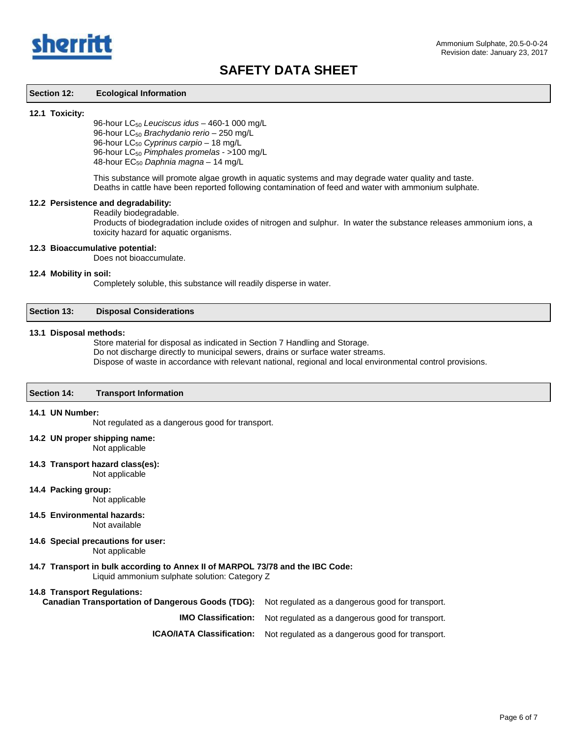

## **Section 12: Ecological Information**

#### **12.1 Toxicity:**

96-hour LC50 *Leuciscus idus* – 460-1 000 mg/L 96-hour LC50 *Brachydanio rerio* – 250 mg/L 96-hour LC<sub>50</sub> Cyprinus carpio - 18 mg/L 96-hour LC50 *Pimphales promelas* - >100 mg/L 48-hour EC50 *Daphnia magna* – 14 mg/L

This substance will promote algae growth in aquatic systems and may degrade water quality and taste. Deaths in cattle have been reported following contamination of feed and water with ammonium sulphate.

## **12.2 Persistence and degradability:**

#### Readily biodegradable.

Products of biodegradation include oxides of nitrogen and sulphur. In water the substance releases ammonium ions, a toxicity hazard for aquatic organisms.

# **12.3 Bioaccumulative potential:**

Does not bioaccumulate.

## **12.4 Mobility in soil:**

Completely soluble, this substance will readily disperse in water.

| <b>Section 13:</b> | <b>Disposal Considerations</b> |  |
|--------------------|--------------------------------|--|
|--------------------|--------------------------------|--|

#### **13.1 Disposal methods:**

Store material for disposal as indicated in Section 7 Handling and Storage. Do not discharge directly to municipal sewers, drains or surface water streams. Dispose of waste in accordance with relevant national, regional and local environmental control provisions.

## **Section 14: Transport Information**

## **14.1 UN Number:**

Not regulated as a dangerous good for transport.

## **14.2 UN proper shipping name:**

Not applicable

#### **14.3 Transport hazard class(es):**

Not applicable

**14.4 Packing group:**

Not applicable

- **14.5 Environmental hazards:** Not available
- **14.6 Special precautions for user:**

Not applicable

## **14.7 Transport in bulk according to Annex II of MARPOL 73/78 and the IBC Code:**

Liquid ammonium sulphate solution: Category Z

## **14.8 Transport Regulations:**

| <b>Canadian Transportation of Dangerous Goods (TDG):</b> Not regulated as a dangerous good for transport. |                                                                             |
|-----------------------------------------------------------------------------------------------------------|-----------------------------------------------------------------------------|
|                                                                                                           | <b>IMO Classification:</b> Not regulated as a dangerous good for transport. |
| <b>ICAO/IATA Classification:</b>                                                                          | Not regulated as a dangerous good for transport.                            |